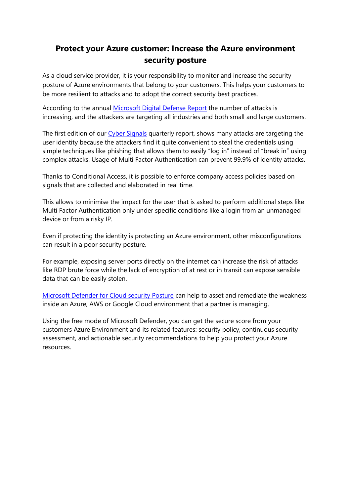# **Protect your Azure customer: Increase the Azure environment security posture**

As a cloud service provider, it is your responsibility to monitor and increase the security posture of Azure environments that belong to your customers. This helps your customers to be more resilient to attacks and to adopt the correct security best practices.

According to the annual Microsoft Digital Defense Report the number of attacks is increasing, and the attackers are targeting all industries and both small and large customers.

The first edition of our Cyber Signals quarterly report, shows many attacks are targeting the user identity because the attackers find it quite convenient to steal the credentials using simple techniques like phishing that allows them to easily "log in" instead of "break in" using complex attacks. Usage of Multi Factor Authentication can prevent 99.9% of identity attacks.

Thanks to Conditional Access, it is possible to enforce company access policies based on signals that are collected and elaborated in real time.

This allows to minimise the impact for the user that is asked to perform additional steps like Multi Factor Authentication only under specific conditions like a login from an unmanaged device or from a risky IP.

Even if protecting the identity is protecting an Azure environment, other misconfigurations can result in a poor security posture.

For example, exposing server ports directly on the internet can increase the risk of attacks like RDP brute force while the lack of encryption of at rest or in transit can expose sensible data that can be easily stolen.

Microsoft Defender for Cloud security Posture can help to asset and remediate the weakness inside an Azure, AWS or Google Cloud environment that a partner is managing.

Using the free mode of Microsoft Defender, you can get the secure score from your customers Azure Environment and its related features: security policy, continuous security assessment, and actionable security recommendations to help you protect your Azure resources.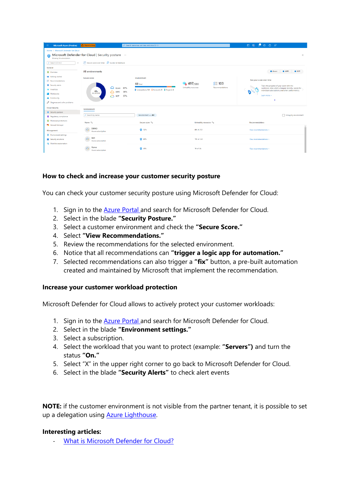| $\equiv$<br><b>Microsoft Azure (Preview)</b>                                                                                                             | Report a bug                                                                                                          | D Search resources, services, and docs (G+/)                                                                |                                                                          |                                                                                                                                                                                                                                   |
|----------------------------------------------------------------------------------------------------------------------------------------------------------|-----------------------------------------------------------------------------------------------------------------------|-------------------------------------------------------------------------------------------------------------|--------------------------------------------------------------------------|-----------------------------------------------------------------------------------------------------------------------------------------------------------------------------------------------------------------------------------|
| Home > Microsoft Defender for Cloud<br>Microsoft Defender for Cloud   Security posture<br>$\times$<br>$\sim$<br>o<br>Showing 54 subscriptions            |                                                                                                                       |                                                                                                             |                                                                          |                                                                                                                                                                                                                                   |
| $O$ Search (Ctrl+/)<br>$\ll$<br>General<br><b>O</b> Overview                                                                                             | $\overline{\mathbb{M}}$ Secure score over time $\overline{\mathbb{R}^2}$ Guides & Feedback<br><b>All environments</b> |                                                                                                             |                                                                          | $\bullet$ AWS<br>GCP<br><b>Azure</b>                                                                                                                                                                                              |
| Getting started<br>E Recommendations<br>G Security alerts<br><b>B</b> Inventory<br><b>Morkbooks</b><br><b>Community</b><br>P Diagnose and solve problems | Secure score<br>40 <sub>8</sub><br>△ AWS<br>SECURE SCORE<br>$\sum$ GCP                                                | Environment<br>$68$ Total<br><b>42</b> Azure 67%<br>Subsciptions 54   Accounts 8   Projects 6<br>30%<br>37% | $\leq$ 103<br><b>6 497/988</b><br>Unhealthy resources<br>Recommendations | See your score over time<br>Track the progress of your score with this<br>workbook. View what's changed recently, scores for<br>individual subscriptions, and other useful metrics.<br>$\mathcal{O}$<br>Learn more ><br>$\bullet$ |
| <b>Cloud Security</b><br><b>Q</b> Security posture<br>Requlatory compliance                                                                              | Environment<br>D Search by name                                                                                       | Environment == All                                                                                          |                                                                          | Group by environment                                                                                                                                                                                                              |
| <b>O</b> Workload protections<br><sup>6</sup> Firewall Manager                                                                                           | Name 12                                                                                                               | Secure score TL                                                                                             | Unhealthy resources 1                                                    | Recommendations                                                                                                                                                                                                                   |
| Management                                                                                                                                               | $\ddot{a}$<br><b>DEMO</b><br>Azure subscription                                                                       | 0.72%                                                                                                       | 89 of 252                                                                | View recommendations >                                                                                                                                                                                                            |
| <b>III</b> Environment settings<br><b>III</b> Security solutions<br><b>Ka</b> Workflow automation                                                        | $\overline{Q}$<br>Ben<br>Azure subscription                                                                           | <b>Q</b> 65%                                                                                                | 115 of 243                                                               | View recommendations >                                                                                                                                                                                                            |
|                                                                                                                                                          | Rome<br>$\circ$<br>Azure subscription                                                                                 | <b>C</b> 61%                                                                                                | 14 of 36                                                                 | View recommendations >                                                                                                                                                                                                            |

### **How to check and increase your customer security posture**

You can check your customer security posture using Microsoft Defender for Cloud:

- 1. Sign in to the Azure Portal and search for Microsoft Defender for Cloud.
- 2. Select in the blade **"Security Posture."**
- 3. Select a customer environment and check the **"Secure Score."**
- 4. Select **"View Recommendations."**
- 5. Review the recommendations for the selected environment.
- 6. Notice that all recommendations can **"trigger a logic app for automation."**
- 7. Selected recommendations can also trigger a **"fix"** button, a pre-built automation created and maintained by Microsoft that implement the recommendation.

#### **Increase your customer workload protection**

Microsoft Defender for Cloud allows to actively protect your customer workloads:

- 1. Sign in to the **Azure Portal and search for Microsoft Defender for Cloud.**
- 2. Select in the blade **"Environment settings."**
- 3. Select a subscription.
- 4. Select the workload that you want to protect (example: **"Servers")** and turn the status **"On."**
- 5. Select "X" in the upper right corner to go back to Microsoft Defender for Cloud.
- 6. Select in the blade **"Security Alerts"** to check alert events

**NOTE:** if the customer environment is not visible from the partner tenant, it is possible to set up a delegation using **Azure Lighthouse**.

#### **Interesting articles:**

- What is Microsoft Defender for Cloud?